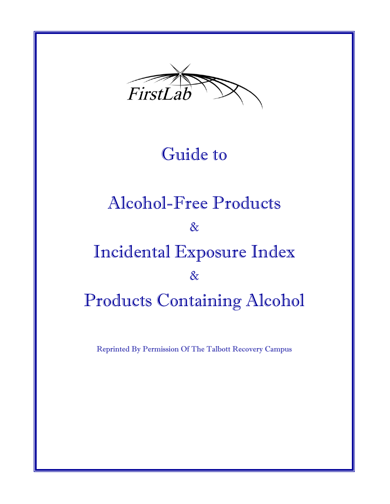

### Guide to

# Alcohol-Free Products & Incidental Exposure Index & Products Containing Alcohol

Reprinted By Permission Of The Talbott Recovery Campus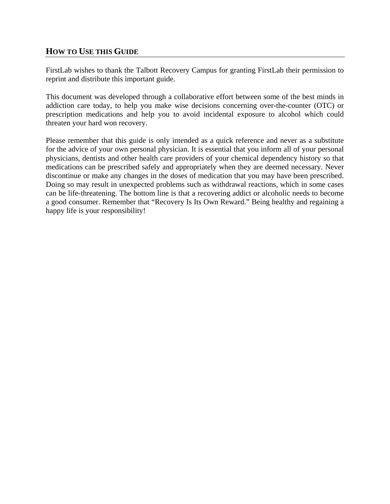#### **HOW TO USE THIS GUIDE**

FirstLab wishes to thank the Talbott Recovery Campus for granting FirstLab their permission to reprint and distribute this important guide.

This document was developed through a collaborative effort between some of the best minds in addiction care today, to help you make wise decisions concerning over-the-counter (OTC) or prescription medications and help you to avoid incidental exposure to alcohol which could threaten your hard won recovery.

Please remember that this guide is only intended as a quick reference and never as a substitute for the advice of your own personal physician. It is essential that you inform all of your personal physicians, dentists and other health care providers of your chemical dependency history so that medications can be prescribed safely and appropriately when they are deemed necessary. Never discontinue or make any changes in the doses of medication that you may have been prescribed. Doing so may result in unexpected problems such as withdrawal reactions, which in some cases can be life-threatening. The bottom line is that a recovering addict or alcoholic needs to become a good consumer. Remember that "Recovery Is Its Own Reward." Being healthy and regaining a happy life is your responsibility!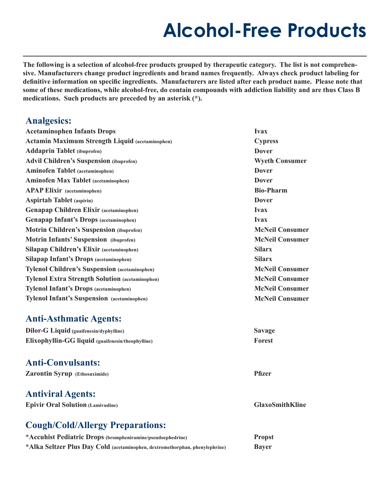**The following is a selection of alcohol-free products grouped by therapeutic category. The list is not comprehensive. Manufacturers change product ingredients and brand names frequently. Always check product labeling for definitive information on specific ingredients. Manufacturers are listed after each product name. Please note that some of these medications, while alcohol-free, do contain compounds with addiction liability and are thus Class B medications. Such products are preceded by an asterisk (\*).** 

### **Analgesics:**

| <b>Acetaminophen Infants Drops</b>                     | <b>Ivax</b>            |
|--------------------------------------------------------|------------------------|
| Actamin Maximum Strength Liquid (acetaminophen)        | <b>Cypress</b>         |
| <b>Addaprin Tablet</b> (ibuprofen)                     | <b>Dover</b>           |
| <b>Advil Children's Suspension (ibuprofen)</b>         | <b>Wyeth Consumer</b>  |
| <b>Aminofen Tablet</b> (acetaminophen)                 | <b>Dover</b>           |
| <b>Aminofen Max Tablet</b> (acetaminophen)             | <b>Dover</b>           |
| <b>APAP Elixir</b> (acetaminophen)                     | <b>Bio-Pharm</b>       |
| <b>Aspirtab Tablet</b> (aspirin)                       | <b>Dover</b>           |
| <b>Genapap Children Elixir (acetaminophen)</b>         | <b>Ivax</b>            |
| <b>Genapap Infant's Drops (acetaminophen)</b>          | <b>Ivax</b>            |
| <b>Motrin Children's Suspension (ibuprofen)</b>        | <b>McNeil Consumer</b> |
| <b>Motrin Infants' Suspension</b> (ibuprofen)          | <b>McNeil Consumer</b> |
| <b>Silapap Children's Elixir (acetaminophen)</b>       | <b>Silarx</b>          |
| <b>Silapap Infant's Drops (acetaminophen)</b>          | <b>Silarx</b>          |
| <b>Tylenol Children's Suspension (acetaminophen)</b>   | <b>McNeil Consumer</b> |
| <b>Tylenol Extra Strength Solution (acetaminophen)</b> | <b>McNeil Consumer</b> |
| <b>Tylenol Infant's Drops (acetaminophen)</b>          | <b>McNeil Consumer</b> |
| <b>Tylenol Infant's Suspension</b> (acetaminophen)     | <b>McNeil Consumer</b> |
|                                                        |                        |

### **Anti-Asthmatic Agents:**

| <b>Dilor-G Liquid (guaifenesin/dyphylline)</b>    | <b>Savage</b> |
|---------------------------------------------------|---------------|
| Elixophyllin-GG liquid (guaifenesin/theophylline) | Forest        |

### **Anti-Convulsants:**

| <b>Zarontin Syrup</b> (Ethosuximide) |  |
|--------------------------------------|--|
|--------------------------------------|--|

#### **Antiviral Agents:**

|  |  |  | <b>Epivir Oral Solution (Lamivudine)</b> |
|--|--|--|------------------------------------------|
|--|--|--|------------------------------------------|

**GlaxoSmithKline** 

**Pfizer** 

### **Cough/Cold/Allergy Preparations:**

| *Accuhist Pediatric Drops (brompheniramine/pseudoephedrine)                  | <b>Propst</b> |
|------------------------------------------------------------------------------|---------------|
| *Alka Seltzer Plus Day Cold (acetaminophen, dextromethorphan, phenylephrine) | <b>Bayer</b>  |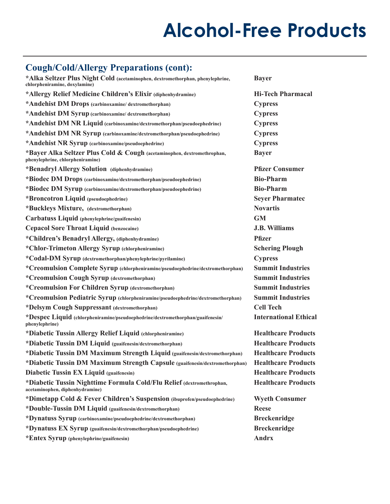### **Cough/Cold/Allergy Preparations (cont):**

| *Alka Seltzer Plus Night Cold (acetaminophen, dextromethorphan, phenylephrine,<br>chlorpheniramine, doxylamine) | <b>Bayer</b>                 |
|-----------------------------------------------------------------------------------------------------------------|------------------------------|
| *Allergy Relief Medicine Children's Elixir (diphenhydramine)                                                    | <b>Hi-Tech Pharmacal</b>     |
| *Andehist DM Drops (carbinoxamine/dextromethorphan)                                                             | <b>Cypress</b>               |
| *Andehist DM Syrup (carbinoxamine/dextromethorphan)                                                             | <b>Cypress</b>               |
| *Andehist DM NR Liquid (carbinoxamine/dextromethorphan/pseudoephedrine)                                         | <b>Cypress</b>               |
| *Andehist DM NR Syrup (carbinoxamine/dextromethorphan/pseudoephedrine)                                          | <b>Cypress</b>               |
| *Andehist NR Syrup (carbinoxamine/pseudoephedrine)                                                              | <b>Cypress</b>               |
| *Bayer Alka Seltzer Plus Cold & Cough (acetaminophen, dextromethrophan,<br>phenylephrine, chlorpheniramine)     | <b>Bayer</b>                 |
| *Benadryl Allergy Solution (diphenhydramine)                                                                    | <b>Pfizer Consumer</b>       |
| *Biodec DM Drops (carbinoxamine/dextromethorphan/pseudoephedrine)                                               | <b>Bio-Pharm</b>             |
| *Biodec DM Syrup (carbinoxamine/dextromethorphan/pseudoephedrine)                                               | <b>Bio-Pharm</b>             |
| *Broncotron Liquid (pseudoephedrine)                                                                            | <b>Seyer Pharmatec</b>       |
| *Buckleys Mixture, (dextromethorphan)                                                                           | <b>Novartis</b>              |
| Carbatuss Liquid (phenylephrine/guaifenesin)                                                                    | <b>GM</b>                    |
| <b>Cepacol Sore Throat Liquid (benzocaine)</b>                                                                  | <b>J.B. Williams</b>         |
| *Children's Benadryl Allergy, (diphenhydramine)                                                                 | <b>Pfizer</b>                |
| *Chlor-Trimeton Allergy Syrup (chlorpheniramine)                                                                | <b>Schering Plough</b>       |
| *Codal-DM Syrup (dextromethorphan/phenylephrine/pyrilamine)                                                     | <b>Cypress</b>               |
| *Creomulsion Complete Syrup (chlorpheniramine/pseudoephedrine/dextromethorphan)                                 | <b>Summit Industries</b>     |
| *Creomulsion Cough Syrup (dextromethorphan)                                                                     | <b>Summit Industries</b>     |
| *Creomulsion For Children Syrup (dextromethorphan)                                                              | <b>Summit Industries</b>     |
| *Creomulsion Pediatric Syrup (chlorpheniramine/pseudoephedrine/dextromethorphan)                                | <b>Summit Industries</b>     |
| *Delsym Cough Suppressant (dextromethorphan)                                                                    | <b>Cell Tech</b>             |
| *Despec Liquid (chlorpheniramine/pseudoephedrine/dextromethorphan/guaifenesin/<br>phenylephrine)                | <b>International Ethical</b> |
| *Diabetic Tussin Allergy Relief Liquid (chlorpheniramine)                                                       | <b>Healthcare Products</b>   |
| *Diabetic Tussin DM Liquid (guaifenesin/dextromethorphan)                                                       | <b>Healthcare Products</b>   |
| *Diabetic Tussin DM Maximum Strength Liquid (guaifenesin/dextromethorphan)                                      | <b>Healthcare Products</b>   |
| *Diabetic Tussin DM Maximum Strength Capsule (guaifenesin/dextromethorphan)                                     | <b>Healthcare Products</b>   |
| <b>Diabetic Tussin EX Liquid (guaifenesin)</b>                                                                  | <b>Healthcare Products</b>   |
| *Diabetic Tussin Nighttime Formula Cold/Flu Relief (dextromethrophan,<br>acetaminophen, diphenhydramine)        | <b>Healthcare Products</b>   |
| *Dimetapp Cold & Fever Children's Suspension (ibuprofen/pseudoephedrine)                                        | <b>Wyeth Consumer</b>        |
| *Double-Tussin DM Liquid (guaifenesin/dextromethorphan)                                                         | <b>Reese</b>                 |
| *Dynatuss Syrup (carbinoxamine/pseudoephedrine/dextromethorphan)                                                | <b>Breckenridge</b>          |
| *Dynatuss EX Syrup (guaifenesin/dextromethorphan/pseudoephedrine)                                               | <b>Breckenridge</b>          |
| *Entex Syrup (phenylephrine/guaifenesin)                                                                        | <b>Andrx</b>                 |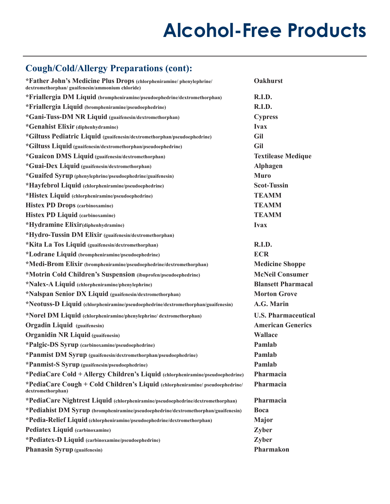### **Cough/Cold/Allergy Preparations (cont):**

| *Father John's Medicine Plus Drops (chlorpheniramine/phenylephrine/<br>dextromethorphan/ guaifenesin/ammonium chloride) | <b>Oakhurst</b>            |
|-------------------------------------------------------------------------------------------------------------------------|----------------------------|
| *Friallergia DM Liquid (brompheniramine/pseudoephedrine/dextromethorphan)                                               | R.I.D.                     |
| *Friallergia Liquid (brompheniramine/pseudoephedrine)                                                                   | R.I.D.                     |
| *Gani-Tuss-DM NR Liquid (guaifenesin/dextromethorphan)                                                                  | <b>Cypress</b>             |
| *Genahist Elixir (diphenhydramine)                                                                                      | <b>Ivax</b>                |
| *Giltuss Pediatric Liquid (guaifenesin/dextromethorphan/pseudoephedrine)                                                | Gil                        |
| *Giltuss Liquid (guaifenesin/dextromethorphan/pseudoephedrine)                                                          | Gil                        |
| *Guaicon DMS Liquid (guaifenesin/dextromethorphan)                                                                      | <b>Textilease Medique</b>  |
| *Guai-Dex Liquid (guaifenesin/dextromethorphan)                                                                         | <b>Alphagen</b>            |
| *Guaifed Syrup (phenylephrine/pseudoephedrine/guaifenesin)                                                              | <b>Muro</b>                |
| *Hayfebrol Liquid (chlorpheniramine/pseudoephedrine)                                                                    | <b>Scot-Tussin</b>         |
| *Histex Liquid (chlorpheniramine/pseudoephedrine)                                                                       | <b>TEAMM</b>               |
| <b>Histex PD Drops (carbinoxamine)</b>                                                                                  | <b>TEAMM</b>               |
| <b>Histex PD Liquid (carbinoxamine)</b>                                                                                 | <b>TEAMM</b>               |
| *Hydramine Elixir(diphenhydramine)                                                                                      | <b>Ivax</b>                |
| *Hydro-Tussin DM Elixir (guaifenesin/dextromethorphan)                                                                  |                            |
| *Kita La Tos Liquid (guaifenesin/dextromethorphan)                                                                      | R.I.D.                     |
| *Lodrane Liquid (brompheniramine/pseudoephedrine)                                                                       | <b>ECR</b>                 |
| *Medi-Brom Elixir (brompheniramine/pseudoephedrine/dextromethorphan)                                                    | <b>Medicine Shoppe</b>     |
| *Motrin Cold Children's Suspension (ibuprofen/pseudoephedrine)                                                          | <b>McNeil Consumer</b>     |
| *Nalex-A Liquid (chlorpheniramine/phenylephrine)                                                                        | <b>Blansett Pharmacal</b>  |
| *Nalspan Senior DX Liquid (guaifenesin/dextromethorphan)                                                                | <b>Morton Grove</b>        |
| *Neotuss-D Liquid (chlorpheniramine/pseudoephedrine/dextromethorphan/guaifenesin)                                       | A.G. Marin                 |
| *Norel DM Liquid (chlorpheniramine/phenylephrine/dextromethorphan)                                                      | <b>U.S. Pharmaceutical</b> |
| <b>Orgadin Liquid</b> (guaifenesin)                                                                                     | <b>American Generics</b>   |
| <b>Organidin NR Liquid (guaifenesin)</b>                                                                                | <b>Wallace</b>             |
| *Palgic-DS Syrup (carbinoxamine/pseudoephedrine)                                                                        | Pamlab                     |
| *Panmist DM Syrup (guaifenesin/dextromethorphan/pseudoephedrine)                                                        | Pamlab                     |
| *Panmist-S Syrup (guaifenesin/pseudoephedrine)                                                                          | Pamlab                     |
| *PediaCare Cold + Allergy Children's Liquid (chlorpheniramine/pseudoephedrine)                                          | Pharmacia                  |
| *PediaCare Cough + Cold Children's Liquid (chlorpheniramine/pseudoephedrine/<br>dextromethorphan)                       | Pharmacia                  |
| *PediaCare Nightrest Liquid (chlorpheniramine/pseudoephedrine/dextromethorphan)                                         | Pharmacia                  |
| *Pediahist DM Syrup (brompheniramine/pseudoephedrine/dextromethorphan/guaifenesin)                                      | <b>Boca</b>                |
| *Pedia-Relief Liquid (chlorpheniramine/pseudoephedrine/dextromethorphan)                                                | <b>Major</b>               |
| <b>Pediatex Liquid (carbinoxamine)</b>                                                                                  | Zyber                      |
| *Pediatex-D Liquid (carbinoxamine/pseudoephedrine)                                                                      | Zyber                      |
| <b>Phanasin Syrup (guaifenesin)</b>                                                                                     | Pharmakon                  |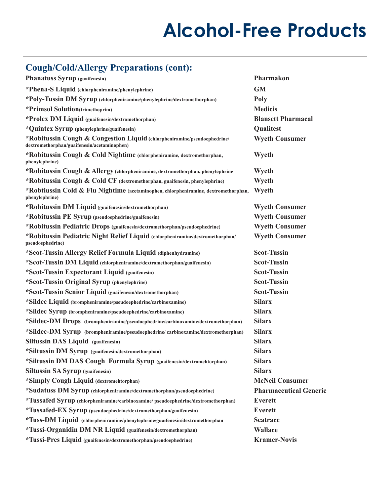### **Cough/Cold/Allergy Preparations (cont):**

| <b>Phanatuss Syrup (guaifenesin)</b>                                                                                    | Pharmakon                     |
|-------------------------------------------------------------------------------------------------------------------------|-------------------------------|
| *Phena-S Liquid (chlorpheniramine/phenylephrine)                                                                        | <b>GM</b>                     |
| *Poly-Tussin DM Syrup (chlorpheniramine/phenylephrine/dextromethorphan)                                                 | <b>Poly</b>                   |
| *Primsol Solution(trimethoprim)                                                                                         | <b>Medicis</b>                |
| *Prolex DM Liquid (guaifenesin/dextromethorphan)                                                                        | <b>Blansett Pharmacal</b>     |
| *Quintex Syrup (phenylephrine/guaifenesin)                                                                              | Qualitest                     |
| *Robitussin Cough & Congestion Liquid (chlorpheniramine/pseudoephedrine/<br>dextromethorphan/guaifenesin/acetaminophen) | <b>Wyeth Consumer</b>         |
| *Robitussin Cough & Cold Nightime (chlorpheniramine, dextromethorphan,<br>phenylephrine)                                | Wyeth                         |
| *Robitussin Cough & Allergy (chlorpheniramine, dextromethorphan, phenylephrine                                          | Wyeth                         |
| *Robitussin Cough & Cold CF (dextromethorphan, guaifenesin, phenylephrine)                                              | Wyeth                         |
| *Robtiussin Cold & Flu Nightime (acetaminophen, chlorpheniramine, dextromethorphan,<br>phenylephrine)                   | Wyeth                         |
| *Robitussin DM Liquid (guaifenesin/dextromethorphan)                                                                    | <b>Wyeth Consumer</b>         |
| *Robitussin PE Syrup (pseudoephedrine/guaifenesin)                                                                      | <b>Wyeth Consumer</b>         |
| *Robitussin Pediatric Drops (guaifenesin/dextromethorphan/pseudoephedrine)                                              | <b>Wyeth Consumer</b>         |
| *Robitussin Pediatric Night Relief Liquid (chlorpheniramine/dextromethorphan/<br>pseudoephedrine)                       | <b>Wyeth Consumer</b>         |
| *Scot-Tussin Allergy Relief Formula Liquid (diphenhydramine)                                                            | <b>Scot-Tussin</b>            |
| *Scot-Tussin DM Liquid (chlorpheniramine/dextromethorphan/guaifenesin)                                                  | <b>Scot-Tussin</b>            |
| *Scot-Tussin Expectorant Liquid (guaifenesin)                                                                           | <b>Scot-Tussin</b>            |
| *Scot-Tussin Original Syrup (phenylephrine)                                                                             | <b>Scot-Tussin</b>            |
| *Scot-Tussin Senior Liquid (guaifenesin/dextromethorphan)                                                               | <b>Scot-Tussin</b>            |
| *Sildec Liquid (brompheniramine/pseudoephedrine/carbinoxamine)                                                          | <b>Silarx</b>                 |
| *Sildec Syrup (brompheniramine/pseudoephedrine/carbinoxamine)                                                           | <b>Silarx</b>                 |
| *Sildec-DM Drops (brompheniramine/pseudoephedrine/carbinoxamine/dextromethorphan)                                       | <b>Silarx</b>                 |
| *Sildec-DM Syrup (brompheniramine/pseudoephedrine/carbinoxamine/dextromethorphan)                                       | <b>Silarx</b>                 |
| <b>Siltussin DAS Liquid</b> (guaifenesin)                                                                               | <b>Silarx</b>                 |
| *Siltussin DM Syrup (guaifenesin/dextromethorphan)                                                                      | <b>Silarx</b>                 |
| *Siltussin DM DAS Cough Formula Syrup (guaifenesin/dextromehtorphan)                                                    | <b>Silarx</b>                 |
| <b>Siltussin SA Syrup (guaifenesin)</b>                                                                                 | <b>Silarx</b>                 |
| *Simply Cough Liquid (dextromehtorphan)                                                                                 | <b>McNeil Consumer</b>        |
| *Sudatuss DM Syrup (chlorpheniramine/dextromethorphan/pseudoephedrine)                                                  | <b>Pharmaceutical Generic</b> |
| *Tussafed Syrup (chlorpheniramine/carbinoxamine/ pseudoephedrine/dextromethorphan)                                      | <b>Everett</b>                |
| *Tussafed-EX Syrup (pseudoephedrine/dextromethorphan/guaifenesin)                                                       | <b>Everett</b>                |
| *Tuss-DM Liquid (chlorpheniramine/phenylephrine/guaifenesin/dextromethorphan                                            | <b>Seatrace</b>               |
| *Tussi-Organidin DM NR Liquid (guaifenesin/dextromethorphan)                                                            | <b>Wallace</b>                |
| *Tussi-Pres Liquid (guaifenesin/dextromethorphan/pseudoephedrine)                                                       | <b>Kramer-Novis</b>           |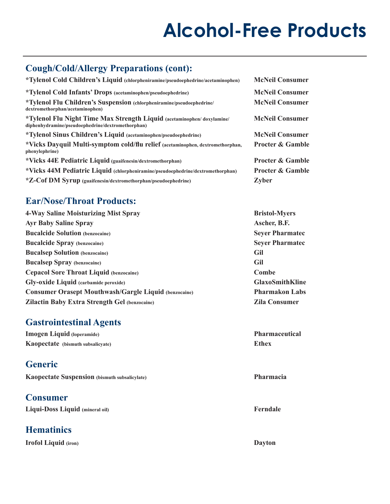### **Cough/Cold/Allergy Preparations (cont):**

| *Tylenol Cold Children's Liquid (chlorpheniramine/pseudoephedrine/acetaminophen)                                            | <b>McNeil Consumer</b>      |
|-----------------------------------------------------------------------------------------------------------------------------|-----------------------------|
| *Tylenol Cold Infants' Drops (acetaminophen/pseudoephedrine)                                                                | <b>McNeil Consumer</b>      |
| *Tylenol Flu Children's Suspension (chlorpheniramine/pseudoephedrine/<br>dextromethorphan/acetaminophen)                    | <b>McNeil Consumer</b>      |
| *Tylenol Flu Night Time Max Strength Liquid (acetaminophen/doxylamine/<br>diphenhydramine/pseudoephedrine/dextromethorphan) | <b>McNeil Consumer</b>      |
| *Tylenol Sinus Children's Liquid (acetaminophen/pseudoephedrine)                                                            | <b>McNeil Consumer</b>      |
| *Vicks Dayquil Multi-symptom cold/flu relief (acetaminophen, dextromethorphan,<br>phenylephrine)                            | <b>Procter &amp; Gamble</b> |
| *Vicks 44E Pediatric Liquid (guaifenesin/dextromethorphan)                                                                  | <b>Procter &amp; Gamble</b> |
| *Vicks 44M Pediatric Liquid (chlorpheniramine/pseudoephedrine/dextromethorphan)                                             | <b>Procter &amp; Gamble</b> |
| *Z-Cof DM Syrup (guaifenesin/dextromethorphan/pseudoephedrine)                                                              | Zyber                       |

### **Ear/Nose/Throat Products:**

| 4-Way Saline Moisturizing Mist Spray                         | <b>Bristol-</b> |
|--------------------------------------------------------------|-----------------|
| <b>Ayr Baby Saline Spray</b>                                 | Ascher,         |
| <b>Bucalcide Solution (benzocaine)</b>                       | <b>Sever P</b>  |
| <b>Bucalcide Spray (benzocaine)</b>                          | <b>Seyer P</b>  |
| <b>Bucalsep Solution</b> (benzocaine)                        | Gil             |
| <b>Bucalsep Spray</b> (benzocaine)                           | Gil             |
| <b>Cepacol Sore Throat Liquid (benzocaine)</b>               | Combe           |
| <b>Gly-oxide Liquid</b> (carbamide peroxide)                 | <b>GlaxoS</b>   |
| <b>Consumer Orasept Mouthwash/Gargle Liquid (benzocaine)</b> | Pharma          |
| <b>Zilactin Baby Extra Strength Gel (benzocaine)</b>         | Zila Co         |

### **Gastrointestinal Agents**

**Imogen Liquid** (loperamide) **Pharmaceutical Kaopectate (bismuth subsalicyate) Ethex** 

### **Generic**

|  | Kaopectate Suspension (bismuth subsalicylate) |  |  |
|--|-----------------------------------------------|--|--|
|--|-----------------------------------------------|--|--|

### **Consumer**

Liqui-Doss Liquid (mineral oil) Ferndale

### **Hematinics**

**Irofol Liquid (iron) Dayton** 

 $3$ ristol-Myers Ascher, B.F. **Beyer Pharmatec Beyer Pharmatec GlaxoSmithKline Pharmakon Labs Zila Consumer** 

**Pharmacia**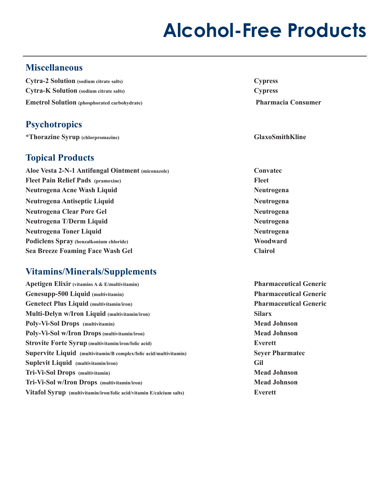### **Miscellaneous**

**Cytra-2 Solution (sodium citrate salts) Cypress Cytra-K Solution (sodium citrate salts) Cypress Emetrol Solution (phosphorated carbohydrate) Pharmacia Consumer** 

### **Psychotropics**

**\*Thorazine Syrup (chlorpromazine) GlaxoSmithKline** 

### **Topical Products**

**Fleet Pain Relief Pads** (pramoxine) Fleet **Aloe Vesta 2-N-1 Antifungal Ointment (miconazole) Convatec Neutrogena Acne Wash Liquid 2008 120 CM 2008 120 CM 2008 120 CM 2008 120 CM 2008 120 CM 2008 120 CM 2008 120 CM 2008 120 CM 2008 120 CM 2008 120 CM 2008 120 CM 2008 120 CM 2008 120 CM 2008 120 CM 2008 120 CM 2008 120 CM 2 Neutrogena Antiseptic Liquid 2008 120 Controlled Antiseptic Liquid 2008 120 Controlled Antiseptic Liquid 2008 120 Controlled Antiseptic Liquid 2008 120 Controlled Antiseptic Liquid 2008 120 Controlled Antiseptic Liquid 20 Neutrogena Clear Pore Gel Neutrogena Neutrogena T/Derm Liquid Neutrogena Neutrogena Toner Liquid 2008 120 CONVERTS 2008 2009 12:00 Neutrogena** Podiclens Spray (benzalkonium chloride) Woodward **Sea Breeze Foaming Face Wash Gel Clairol** 

### **Vitamins/Minerals/Supplements**

| Apetigen Elixir (vitamins A & E/multivitamin)                        | Pharma          |
|----------------------------------------------------------------------|-----------------|
| Genesupp-500 Liquid (multivitamin)                                   | <b>Pharma</b>   |
| <b>Genetect Plus Liquid (multivitamin/iron)</b>                      | <b>Pharma</b>   |
| Multi-Delyn w/Iron Liquid (multivitamin/iron)                        | <b>Silarx</b>   |
| Poly-Vi-Sol Drops (multivitamin)                                     | <b>Mead Jo</b>  |
| Poly-Vi-Sol w/Iron Drops (multivitamin/iron)                         | <b>Mead Jo</b>  |
| <b>Strovite Forte Syrup (multivitamin/iron/folic acid)</b>           | Everett         |
| Supervite Liquid (multivitamin/B complex/folic acid/multivitamin)    | <b>Sever Pl</b> |
| <b>Suplevit Liquid</b> (multivitamin/iron)                           | Gil             |
| Tri-Vi-Sol Drops (multivitamin)                                      | <b>Mead Jo</b>  |
| Tri-Vi-Sol w/Iron Drops (multivitamin/iron)                          | <b>Mead Jo</b>  |
| Vitafol Syrup (multivitamin/iron/folic acid/vitamin E/calcium salts) | Everett         |
|                                                                      |                 |

**Pharmaceutical Generic Pharmaceutical Generic Pharmaceutical Generic Mead Johnson Mead Johnson Seyer Pharmatec Mead Johnson Mead Johnson**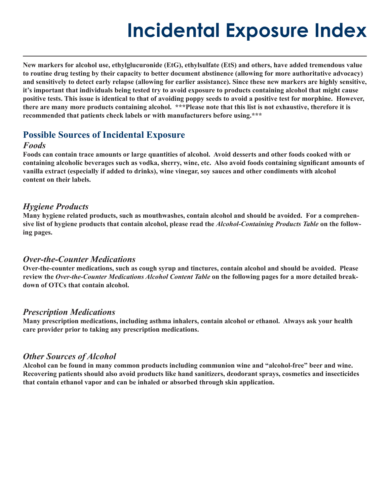**New markers for alcohol use, ethylglucuronide (EtG), ethylsulfate (EtS) and others, have added tremendous value to routine drug testing by their capacity to better document abstinence (allowing for more authoritative advocacy) and sensitively to detect early relapse (allowing for earlier assistance). Since these new markers are highly sensitive, it's important that individuals being tested try to avoid exposure to products containing alcohol that might cause positive tests. This issue is identical to that of avoiding poppy seeds to avoid a positive test for morphine. However, there are many more products containing alcohol. \*\*\*Please note that this list is not exhaustive, therefore it is recommended that patients check labels or with manufacturers before using.\*\*\*** 

#### **Possible Sources of Incidental Exposure**

#### *Foods*

**Foods can contain trace amounts or large quantities of alcohol. Avoid desserts and other foods cooked with or containing alcoholic beverages such as vodka, sherry, wine, etc. Also avoid foods containing significant amounts of vanilla extract (especially if added to drinks), wine vinegar, soy sauces and other condiments with alcohol content on their labels.** 

#### *Hygiene Products*

**Many hygiene related products, such as mouthwashes, contain alcohol and should be avoided. For a comprehensive list of hygiene products that contain alcohol, please read the** *Alcohol-Containing Products Table* **on the following pages.** 

#### *Over-the-Counter Medications*

**Over-the-counter medications, such as cough syrup and tinctures, contain alcohol and should be avoided. Please review the** *Over-the-Counter Medications Alcohol Content Table* **on the following pages for a more detailed breakdown of OTCs that contain alcohol.** 

#### *Prescription Medications*

**Many prescription medications, including asthma inhalers, contain alcohol or ethanol. Always ask your health care provider prior to taking any prescription medications.** 

#### *Other Sources of Alcohol*

**Alcohol can be found in many common products including communion wine and "alcohol-free" beer and wine. Recovering patients should also avoid products like hand sanitizers, deodorant sprays, cosmetics and insecticides that contain ethanol vapor and can be inhaled or absorbed through skin application.**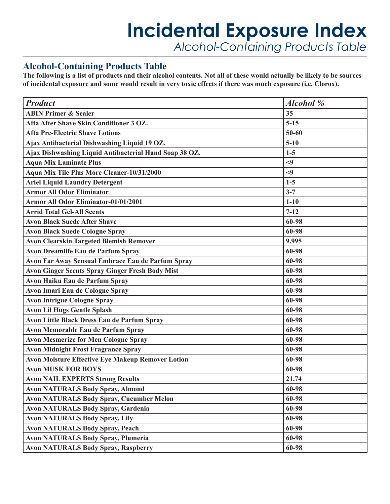### **Incidental Exposure Index** *Alcohol-Containing Products Table*

### **Alcohol-Containing Products Table**

**The following is a list of products and their alcohol contents. Not all of these would actually be likely to be sources of incidental exposure and some would result in very toxic effects if there was much exposure (i.e. Clorox).** 

| <b>Product</b>                                           | <b>Alcohol</b> % |
|----------------------------------------------------------|------------------|
| <b>ABIN Primer &amp; Sealer</b>                          | 35               |
| Afta After Shave Skin Conditioner 3 OZ.                  | $5 - 15$         |
| <b>Afta Pre-Electric Shave Lotions</b>                   | 50-60            |
| Ajax Antibacterial Dishwashing Liquid 19 OZ.             | $5 - 10$         |
| Ajax Dishwashing Liquid Antibacterial Hand Soap 38 OZ.   | $1-5$            |
| <b>Aqua Mix Laminate Plus</b>                            | $<$ 9            |
| Aqua Mix Tile Plus More Cleaner-10/31/2000               | $<$ 9            |
| <b>Ariel Liquid Laundry Detergent</b>                    | $1-5$            |
| <b>Armor All Odor Eliminator</b>                         | $3 - 7$          |
| <b>Armor All Odor Eliminator-01/01/2001</b>              | $1 - 10$         |
| <b>Arrid Total Gel-All Scents</b>                        | $7 - 12$         |
| <b>Avon Black Suede After Shave</b>                      | 60-98            |
| <b>Avon Black Suede Cologne Spray</b>                    | 60-98            |
| <b>Avon Clearskin Targeted Blemish Remover</b>           | 9.995            |
| <b>Avon Dreamlife Eau de Parfum Spray</b>                | 60-98            |
| Avon Far Away Sensual Embrace Eau de Parfum Spray        | 60-98            |
| <b>Avon Ginger Scents Spray Ginger Fresh Body Mist</b>   | 60-98            |
| Avon Haiku Eau de Parfum Spray                           | 60-98            |
| <b>Avon Imari Eau de Cologne Spray</b>                   | 60-98            |
| <b>Avon Intrigue Cologne Spray</b>                       | 60-98            |
| <b>Avon Lil Hugs Gentle Splash</b>                       | 60-98            |
| <b>Avon Little Black Dress Eau de Parfum Spray</b>       | 60-98            |
| Avon Memorable Eau de Parfum Spray                       | 60-98            |
| <b>Avon Mesmerize for Men Cologne Spray</b>              | 60-98            |
| <b>Avon Midnight Frost Fragrance Spray</b>               | 60-98            |
| <b>Avon Moisture Effective Eye Makeup Remover Lotion</b> | 60-98            |
| <b>Avon MUSK FOR BOYS</b>                                | 60-98            |
| <b>Avon NAIL EXPERTS Strong Results</b>                  | 21.74            |
| <b>Avon NATURALS Body Spray, Almond</b>                  | 60-98            |
| <b>Avon NATURALS Body Spray, Cucumber Melon</b>          | 60-98            |
| <b>Avon NATURALS Body Spray, Gardenia</b>                | 60-98            |
| <b>Avon NATURALS Body Spray, Lily</b>                    | 60-98            |
| <b>Avon NATURALS Body Spray, Peach</b>                   | 60-98            |
| <b>Avon NATURALS Body Spray, Plumeria</b>                | 60-98            |
| <b>Avon NATURALS Body Spray, Raspberry</b>               | 60-98            |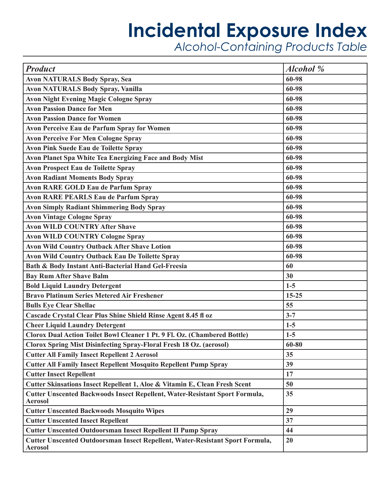| <b>Product</b>                                                                                  | <b>Alcohol</b> % |
|-------------------------------------------------------------------------------------------------|------------------|
| <b>Avon NATURALS Body Spray, Sea</b>                                                            | 60-98            |
| <b>Avon NATURALS Body Spray, Vanilla</b>                                                        | 60-98            |
| <b>Avon Night Evening Magic Cologne Spray</b>                                                   | 60-98            |
| <b>Avon Passion Dance for Men</b>                                                               | 60-98            |
| <b>Avon Passion Dance for Women</b>                                                             | 60-98            |
| <b>Avon Perceive Eau de Parfum Spray for Women</b>                                              | 60-98            |
| <b>Avon Perceive For Men Cologne Spray</b>                                                      | 60-98            |
| <b>Avon Pink Suede Eau de Toilette Spray</b>                                                    | 60-98            |
| Avon Planet Spa White Tea Energizing Face and Body Mist                                         | 60-98            |
| <b>Avon Prospect Eau de Toilette Spray</b>                                                      | 60-98            |
| <b>Avon Radiant Moments Body Spray</b>                                                          | 60-98            |
| <b>Avon RARE GOLD Eau de Parfum Spray</b>                                                       | 60-98            |
| <b>Avon RARE PEARLS Eau de Parfum Spray</b>                                                     | 60-98            |
| <b>Avon Simply Radiant Shimmering Body Spray</b>                                                | 60-98            |
| <b>Avon Vintage Cologne Spray</b>                                                               | 60-98            |
| <b>Avon WILD COUNTRY After Shave</b>                                                            | 60-98            |
| <b>Avon WILD COUNTRY Cologne Spray</b>                                                          | 60-98            |
| <b>Avon Wild Country Outback After Shave Lotion</b>                                             | 60-98            |
| <b>Avon Wild Country Outback Eau De Toilette Spray</b>                                          | 60-98            |
| Bath & Body Instant Anti-Bacterial Hand Gel-Freesia                                             | 60               |
| <b>Bay Rum After Shave Balm</b>                                                                 | 30               |
| <b>Bold Liquid Laundry Detergent</b>                                                            | $1-5$            |
| <b>Bravo Platinum Series Metered Air Freshener</b>                                              | $15 - 25$        |
| <b>Bulls Eye Clear Shellac</b>                                                                  | 55               |
| Cascade Crystal Clear Plus Shine Shield Rinse Agent 8.45 fl oz                                  | $3 - 7$          |
| <b>Cheer Liquid Laundry Detergent</b>                                                           | $1-5$            |
| Clorox Dual Action Toilet Bowl Cleaner 1 Pt. 9 Fl. Oz. (Chambered Bottle)                       | $1-5$            |
| <b>Clorox Spring Mist Disinfecting Spray-Floral Fresh 18 Oz. (aerosol)</b>                      | $60 - 80$        |
| <b>Cutter All Family Insect Repellent 2 Aerosol</b>                                             | 35               |
| <b>Cutter All Family Insect Repellent Mosquito Repellent Pump Spray</b>                         | 39               |
| <b>Cutter Insect Repellent</b>                                                                  | 17               |
| Cutter Skinsations Insect Repellent 1, Aloe & Vitamin E, Clean Fresh Scent                      | 50               |
| Cutter Unscented Backwoods Insect Repellent, Water-Resistant Sport Formula,<br><b>Aerosol</b>   | 35               |
| <b>Cutter Unscented Backwoods Mosquito Wipes</b>                                                | 29               |
| <b>Cutter Unscented Insect Repellent</b>                                                        | 37               |
| <b>Cutter Unscented Outdoorsman Insect Repellent II Pump Spray</b>                              | 44               |
| Cutter Unscented Outdoorsman Insect Repellent, Water-Resistant Sport Formula,<br><b>Aerosol</b> | 20               |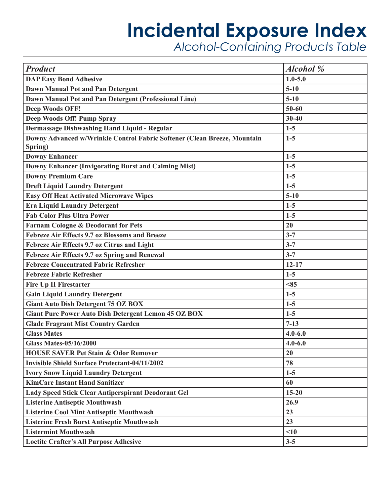| <b>Product</b>                                                           | <b>Alcohol</b> % |
|--------------------------------------------------------------------------|------------------|
| <b>DAP Easy Bond Adhesive</b>                                            | $1.0 - 5.0$      |
| Dawn Manual Pot and Pan Detergent                                        | $5 - 10$         |
| Dawn Manual Pot and Pan Detergent (Professional Line)                    | $5 - 10$         |
| <b>Deep Woods OFF!</b>                                                   | $50 - 60$        |
| Deep Woods Off! Pump Spray                                               | $30 - 40$        |
| Dermassage Dishwashing Hand Liquid - Regular                             | $1-5$            |
| Downy Advanced w/Wrinkle Control Fabric Softener (Clean Breeze, Mountain | $1-5$            |
| Spring)                                                                  |                  |
| <b>Downy Enhancer</b>                                                    | $1-5$            |
| <b>Downy Enhancer (Invigorating Burst and Calming Mist)</b>              | $1-5$            |
| <b>Downy Premium Care</b>                                                | $1-5$            |
| <b>Dreft Liquid Laundry Detergent</b>                                    | $1-5$            |
| <b>Easy Off Heat Activated Microwave Wipes</b>                           | $5 - 10$         |
| <b>Era Liquid Laundry Detergent</b>                                      | $1-5$            |
| <b>Fab Color Plus Ultra Power</b>                                        | $1-5$            |
| <b>Farnam Cologne &amp; Deodorant for Pets</b>                           | 20               |
| Febreze Air Effects 9.7 oz Blossoms and Breeze                           | $3 - 7$          |
| Febreze Air Effects 9.7 oz Citrus and Light                              | $3 - 7$          |
| Febreze Air Effects 9.7 oz Spring and Renewal                            | $3 - 7$          |
| <b>Febreze Concentrated Fabric Refresher</b>                             | $12 - 17$        |
| <b>Febreze Fabric Refresher</b>                                          | $1-5$            |
| <b>Fire Up II Firestarter</b>                                            | < 85             |
| <b>Gain Liquid Laundry Detergent</b>                                     | $1-5$            |
| <b>Giant Auto Dish Detergent 75 OZ BOX</b>                               | $1-5$            |
| <b>Giant Pure Power Auto Dish Detergent Lemon 45 OZ BOX</b>              | $1-5$            |
| <b>Glade Fragrant Mist Country Garden</b>                                | $7 - 13$         |
| <b>Glass Mates</b>                                                       | $4.0 - 6.0$      |
| <b>Glass Mates-05/16/2000</b>                                            | $4.0 - 6.0$      |
| <b>HOUSE SAVER Pet Stain &amp; Odor Remover</b>                          | 20               |
| <b>Invisible Shield Surface Protectant-04/11/2002</b>                    | 78               |
| <b>Ivory Snow Liquid Laundry Detergent</b>                               | $1-5$            |
| <b>KimCare Instant Hand Sanitizer</b>                                    | 60               |
| Lady Speed Stick Clear Antiperspirant Deodorant Gel                      | $15 - 20$        |
| <b>Listerine Antiseptic Mouthwash</b>                                    | 26.9             |
| <b>Listerine Cool Mint Antiseptic Mouthwash</b>                          | 23               |
| <b>Listerine Fresh Burst Antiseptic Mouthwash</b>                        | 23               |
| <b>Listermint Mouthwash</b>                                              | <10              |
| <b>Loctite Crafter's All Purpose Adhesive</b>                            | $3 - 5$          |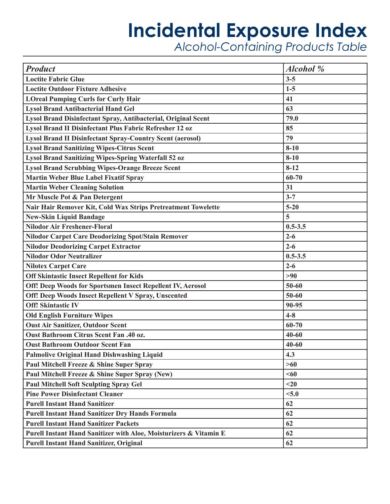| <b>Product</b>                                                    | <b>Alcohol</b> % |
|-------------------------------------------------------------------|------------------|
| <b>Loctite Fabric Glue</b>                                        | $3 - 5$          |
| <b>Loctite Outdoor Fixture Adhesive</b>                           | $1-5$            |
| <b>LOreal Pumping Curls for Curly Hair</b>                        | 41               |
| <b>Lysol Brand Antibacterial Hand Gel</b>                         | 63               |
| Lysol Brand Disinfectant Spray, Antibacterial, Original Scent     | 79.0             |
| Lysol Brand II Disinfectant Plus Fabric Refresher 12 oz           | 85               |
| <b>Lysol Brand II Disinfectant Spray-Country Scent (aerosol)</b>  | 79               |
| <b>Lysol Brand Sanitizing Wipes-Citrus Scent</b>                  | $8 - 10$         |
| <b>Lysol Brand Sanitizing Wipes-Spring Waterfall 52 oz</b>        | $8 - 10$         |
| <b>Lysol Brand Scrubbing Wipes-Orange Breeze Scent</b>            | $8 - 12$         |
| <b>Martin Weber Blue Label Fixatif Spray</b>                      | 60-70            |
| <b>Martin Weber Cleaning Solution</b>                             | 31               |
| Mr Muscle Pot & Pan Detergent                                     | $3 - 7$          |
| Nair Hair Remover Kit, Cold Wax Strips Pretreatment Towelette     | $5 - 20$         |
| <b>New-Skin Liquid Bandage</b>                                    | 5                |
| <b>Nilodor Air Freshener-Floral</b>                               | $0.5 - 3.5$      |
| <b>Nilodor Carpet Care Deodorizing Spot/Stain Remover</b>         | $2 - 6$          |
| <b>Nilodor Deodorizing Carpet Extractor</b>                       | $2 - 6$          |
| <b>Nilodor Odor Neutralizer</b>                                   | $0.5 - 3.5$      |
| <b>Nilotex Carpet Care</b>                                        | $2 - 6$          |
| <b>Off Skintastic Insect Repellent for Kids</b>                   | >90              |
| Off! Deep Woods for Sportsmen Insect Repellent IV, Aerosol        | 50-60            |
| Off! Deep Woods Insect Repellent V Spray, Unscented               | 50-60            |
| <b>Off! Skintastic IV</b>                                         | 90-95            |
| <b>Old English Furniture Wipes</b>                                | $4 - 8$          |
| <b>Oust Air Sanitizer, Outdoor Scent</b>                          | 60-70            |
| <b>Oust Bathroom Citrus Scent Fan .40 oz.</b>                     | $40 - 60$        |
| <b>Oust Bathroom Outdoor Scent Fan</b>                            | $40 - 60$        |
| <b>Palmolive Original Hand Dishwashing Liquid</b>                 | 4.3              |
| Paul Mitchell Freeze & Shine Super Spray                          | >60              |
| Paul Mitchell Freeze & Shine Super Spray (New)                    | $60$             |
| <b>Paul Mitchell Soft Sculpting Spray Gel</b>                     | $20$             |
| <b>Pine Power Disinfectant Cleaner</b>                            | < 5.0            |
| <b>Purell Instant Hand Sanitizer</b>                              | 62               |
| <b>Purell Instant Hand Sanitizer Dry Hands Formula</b>            | 62               |
| <b>Purell Instant Hand Sanitizer Packets</b>                      | 62               |
| Purell Instant Hand Sanitizer with Aloe, Moisturizers & Vitamin E | 62               |
| <b>Purell Instant Hand Sanitizer, Original</b>                    | 62               |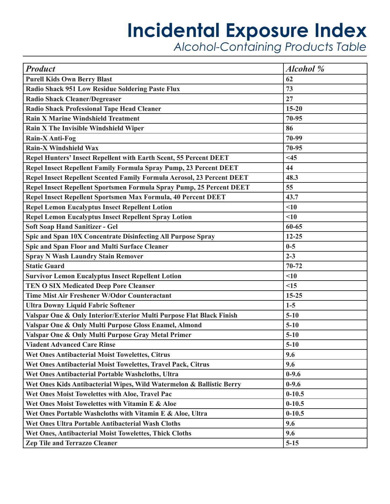| <b>Product</b>                                                           | <b>Alcohol</b> % |
|--------------------------------------------------------------------------|------------------|
| <b>Purell Kids Own Berry Blast</b>                                       | 62               |
| <b>Radio Shack 951 Low Residue Soldering Paste Flux</b>                  | 73               |
| <b>Radio Shack Cleaner/Degreaser</b>                                     | 27               |
| <b>Radio Shack Professional Tape Head Cleaner</b>                        | $15 - 20$        |
| <b>Rain X Marine Windshield Treatment</b>                                | 70-95            |
| Rain X The Invisible Windshield Wiper                                    | 86               |
| Rain-X Anti-Fog                                                          | 70-99            |
| <b>Rain-X Windshield Wax</b>                                             | 70-95            |
| <b>Repel Hunters' Insect Repellent with Earth Scent, 55 Percent DEET</b> | <45              |
| Repel Insect Repellent Family Formula Spray Pump, 23 Percent DEET        | 44               |
| Repel Insect Repellent Scented Family Formula Aerosol, 23 Percent DEET   | 48.3             |
| Repel Insect Repellent Sportsmen Formula Spray Pump, 25 Percent DEET     | 55               |
| Repel Insect Repellent Sportsmen Max Formula, 40 Percent DEET            | 43.7             |
| <b>Repel Lemon Eucalyptus Insect Repellent Lotion</b>                    | < 10             |
| <b>Repel Lemon Eucalyptus Insect Repellent Spray Lotion</b>              | < 10             |
| <b>Soft Soap Hand Sanitizer - Gel</b>                                    | 60-65            |
| Spic and Span 10X Concentrate Disinfecting All Purpose Spray             | $12 - 25$        |
| Spic and Span Floor and Multi Surface Cleaner                            | $0 - 5$          |
| <b>Spray N Wash Laundry Stain Remover</b>                                | $2 - 3$          |
| <b>Static Guard</b>                                                      | $70 - 72$        |
| <b>Survivor Lemon Eucalyptus Insect Repellent Lotion</b>                 | < 10             |
| <b>TEN O SIX Medicated Deep Pore Cleanser</b>                            | <15              |
| Time Mist Air Freshener W/Odor Counteractant                             | $15 - 25$        |
| <b>Ultra Downy Liquid Fabric Softener</b>                                | $1-5$            |
| Valspar One & Only Interior/Exterior Multi Purpose Flat Black Finish     | $5 - 10$         |
| Valspar One & Only Multi Purpose Gloss Enamel, Almond                    | $5 - 10$         |
| Valspar One & Only Multi Purpose Gray Metal Primer                       | $5 - 10$         |
| <b>Viadent Advanced Care Rinse</b>                                       | $5 - 10$         |
| Wet Ones Antibacterial Moist Towelettes, Citrus                          | 9.6              |
| Wet Ones Antibacterial Moist Towelettes, Travel Pack, Citrus             | 9.6              |
| Wet Ones Antibacterial Portable Washcloths, Ultra                        | $0-9.6$          |
| Wet Ones Kids Antibacterial Wipes, Wild Watermelon & Ballistic Berry     | $0-9.6$          |
| Wet Ones Moist Towelettes with Aloe, Travel Pac                          | $0 - 10.5$       |
| Wet Ones Moist Towelettes with Vitamin E & Aloe                          | $0 - 10.5$       |
| Wet Ones Portable Washcloths with Vitamin E & Aloe, Ultra                | $0 - 10.5$       |
| Wet Ones Ultra Portable Antibacterial Wash Cloths                        | 9.6              |
| Wet Ones, Antibacterial Moist Towelettes, Thick Cloths                   | 9.6              |
| <b>Zep Tile and Terrazzo Cleaner</b>                                     | $5 - 15$         |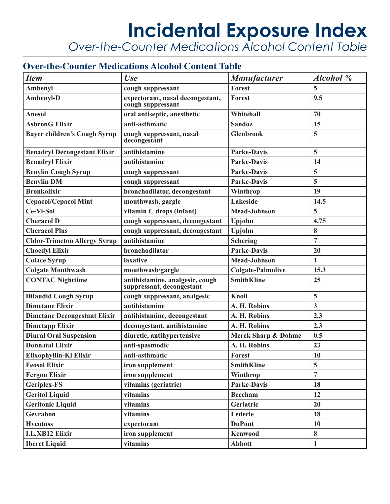### **Incidental Exposure Index** *Over-the-Counter Medications Alcohol Content Table*

### **Over-the-Counter Medications Alcohol Content Table**

| <b>Item</b>                         | Use                                                          | <b>Manufacturer</b>            | <b>Alcohol</b> % |
|-------------------------------------|--------------------------------------------------------------|--------------------------------|------------------|
| <b>Ambenyl</b>                      | cough suppressant                                            | <b>Forest</b>                  | 5                |
| Ambenyl-D                           | expectorant, nasal decongestant,<br>cough suppressant        | <b>Forest</b>                  | 9.5              |
| <b>Anesol</b>                       | oral antiseptic, anesthetic                                  | Whitehall                      | 70               |
| <b>AsbronG Elixir</b>               | anti-asthmatic                                               | <b>Sandoz</b>                  | 15               |
| <b>Bayer children's Cough Syrup</b> | cough suppressant, nasal<br>decongestant                     | <b>Glenbrook</b>               | 5                |
| <b>Benadryl Decongestant Elixir</b> | antihistamine                                                | <b>Parke-Davis</b>             | 5                |
| <b>Benadryl Elixir</b>              | antihistamine                                                | <b>Parke-Davis</b>             | 14               |
| <b>Benylin Cough Syrup</b>          | cough suppressant                                            | <b>Parke-Davis</b>             | 5                |
| <b>Benylin DM</b>                   | cough suppressant                                            | <b>Parke-Davis</b>             | 5                |
| <b>Bronkolixir</b>                  | bronchodilator, decongestant                                 | Winthrop                       | 19               |
| <b>Cepacol/Cepacol Mint</b>         | mouthwash, gargle                                            | <b>Lakeside</b>                | 14.5             |
| Ce-Vi-Sol                           | vitamin C drops (infant)                                     | <b>Mead-Johnson</b>            | 5                |
| <b>Cheracol D</b>                   | cough suppressant, decongestant                              | Upjohn                         | 4.75             |
| <b>Cheracol Plus</b>                | cough suppressant, decongestant                              | Upjohn                         | 8                |
| <b>Chlor-Trimeton Allergy Syrup</b> | antihistamine                                                | <b>Schering</b>                | $\overline{7}$   |
| <b>Choedyl Elixir</b>               | bronchodilator                                               | <b>Parke-Davis</b>             | 20               |
| <b>Colace Syrup</b>                 | laxative                                                     | <b>Mead-Johnson</b>            | $\mathbf{1}$     |
| <b>Colgate Mouthwash</b>            | mouthwash/gargle                                             | <b>Colgate-Palmolive</b>       | 15.3             |
| <b>CONTAC Nighttime</b>             | antihistamine, analgesic, cough<br>suppressant, decongestant | <b>SmithKline</b>              | 25               |
| <b>Dilaudid Cough Syrup</b>         | cough suppressant, analgesic                                 | <b>Knoll</b>                   | 5                |
| <b>Dimetane Elixir</b>              | antihistamine                                                | A. H. Robins                   | $\overline{3}$   |
| <b>Dimetane Decongestant Elixir</b> | antihistamine, decongestant                                  | A. H. Robins                   | 2.3              |
| <b>Dimetapp Elixir</b>              | decongestant, antihistamine                                  | A. H. Robins                   | 2.3              |
| <b>Diural Oral Suspension</b>       | diuretic, antihypertensive                                   | <b>Merck Sharp &amp; Dohme</b> | 0.5              |
| <b>Donnatal Elixir</b>              | anti-spasmodic                                               | A. H. Robins                   | 23               |
| Elixophyllin-Kl Elixir              | anti-asthmatic                                               | <b>Forest</b>                  | 10               |
| <b>Feosol Elixir</b>                | iron supplement                                              | <b>SmithKline</b>              | 5                |
| <b>Fergon Elixir</b>                | iron supplement                                              | Winthrop                       | $\overline{7}$   |
| <b>Geriplex-FS</b>                  | vitamins (geriatric)                                         | <b>Parke-Davis</b>             | 18               |
| <b>Geritol Liquid</b>               | vitamins                                                     | <b>Beecham</b>                 | 12               |
| <b>Geritonic Liquid</b>             | vitamins                                                     | Geriatric                      | 20               |
| Gevrabon                            | vitamins                                                     | Lederle                        | 18               |
| <b>Hycotuss</b>                     | expectorant                                                  | <b>DuPont</b>                  | 10               |
| <b>I.L.XB12 Elixir</b>              | iron supplement                                              | <b>Kenwood</b>                 | 8                |
| <b>Iberet Liquid</b>                | vitamins                                                     | <b>Abbott</b>                  | $\mathbf{1}$     |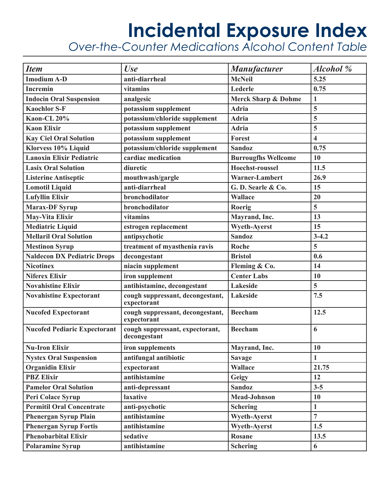*Over-the-Counter Medications Alcohol Content Table* 

| <b>Item</b>                         | <b>Use</b>                                      | <b>Manufacturer</b>            | Alcohol %               |
|-------------------------------------|-------------------------------------------------|--------------------------------|-------------------------|
| <b>Imodium A-D</b>                  | anti-diarrheal                                  | <b>McNeil</b>                  | 5.25                    |
| <b>Incremin</b>                     | vitamins                                        | Lederle                        | 0.75                    |
| <b>Indocin Oral Suspension</b>      | analgesic                                       | <b>Merck Sharp &amp; Dohme</b> | $\mathbf{1}$            |
| <b>Kaochlor S-F</b>                 | potassium supplement                            | <b>Adria</b>                   | 5                       |
| Kaon-CL 20%                         | potassium/chloride supplement                   | <b>Adria</b>                   | 5                       |
| <b>Kaon Elixir</b>                  | potassium supplement                            | <b>Adria</b>                   | 5                       |
| <b>Kay Ciel Oral Solution</b>       | potassium supplement                            | <b>Forest</b>                  | $\overline{\mathbf{4}}$ |
| Klorvess 10% Liquid                 | potassium/chloride supplement                   | <b>Sandoz</b>                  | 0.75                    |
| <b>Lanoxin Elixir Pediatric</b>     | cardiac medication                              | <b>Burrougfhs Wellcome</b>     | 10                      |
| <b>Lasix Oral Solution</b>          | diuretic                                        | <b>Hoechst-roussel</b>         | 11.5                    |
| <b>Listerine Antiseptic</b>         | mouthwash/gargle                                | Warner-Lambert                 | 26.9                    |
| <b>Lomotil Liquid</b>               | anti-diarrheal                                  | G.D. Searle & Co.              | 15                      |
| <b>Lufyllin Elixir</b>              | bronchodilator                                  | <b>Wallace</b>                 | 20                      |
| <b>Marax-DF Syrup</b>               | bronchodilator                                  | Roerig                         | 5                       |
| <b>May-Vita Elixir</b>              | vitamins                                        | Mayrand, Inc.                  | 13                      |
| <b>Mediatric Liquid</b>             | estrogen replacement                            | <b>Wyeth-Averst</b>            | 15                      |
| <b>Mellaril Oral Solution</b>       | antipsychotic                                   | <b>Sandoz</b>                  | $3 - 4.2$               |
| <b>Mestinon Syrup</b>               | treatment of myasthenia ravis                   | Roche                          | 5                       |
| <b>Naldecon DX Pediatric Drops</b>  | decongestant                                    | <b>Bristol</b>                 | 0.6                     |
| <b>Nicotinex</b>                    | niacin supplement                               | Fleming & Co.                  | 14                      |
| <b>Niferex Elixir</b>               | iron supplement                                 | <b>Center Labs</b>             | 10                      |
| <b>Novahistine Elixir</b>           | antihistamine, decongestant                     | <b>Lakeside</b>                | $\overline{5}$          |
| <b>Novahistine Expectorant</b>      | cough suppressant, decongestant,<br>expectorant | <b>Lakeside</b>                | 7.5                     |
| <b>Nucofed Expectorant</b>          | cough suppressant, decongestant,<br>expectorant | <b>Beecham</b>                 | 12.5                    |
| <b>Nucofed Pediaric Expectorant</b> | cough suppressant, expectorant,<br>decongestant | <b>Beecham</b>                 | 6                       |
| <b>Nu-Iron Elixir</b>               | iron supplements                                | Mayrand, Inc.                  | 10                      |
| <b>Nystex Oral Suspension</b>       | antifungal antibiotic                           | <b>Savage</b>                  | 1                       |
| <b>Organidin Elixir</b>             | expectorant                                     | <b>Wallace</b>                 | 21.75                   |
| <b>PBZ Elixir</b>                   | antihistamine                                   | Geigy                          | 12                      |
| <b>Pamelor Oral Solution</b>        | anti-depressant                                 | <b>Sandoz</b>                  | $3 - 5$                 |
| Peri Colace Syrup                   | laxative                                        | <b>Mead-Johnson</b>            | 10                      |
| <b>Permitil Oral Concentrate</b>    | anti-psychotic                                  | <b>Schering</b>                | $\mathbf{1}$            |
| <b>Phenergan Syrup Plain</b>        | antihistamine                                   | <b>Wyeth-Ayerst</b>            | $\overline{7}$          |
| <b>Phenergan Syrup Fortis</b>       | antihistamine                                   | <b>Wyeth-Ayerst</b>            | 1.5                     |
| <b>Phenobarbital Elixir</b>         | sedative                                        | <b>Rosane</b>                  | 13.5                    |
| <b>Polaramine Syrup</b>             | antihistamine                                   | <b>Schering</b>                | 6                       |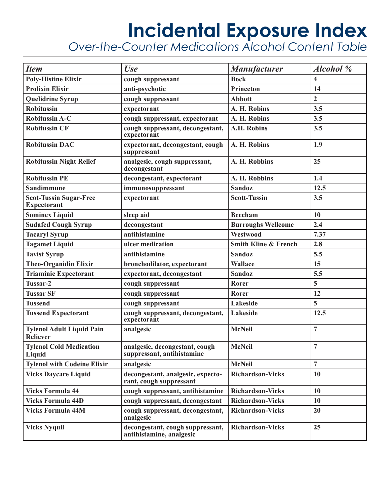*Over-the-Counter Medications Alcohol Content Table* 

| <b>Item</b>                                         | <b>Use</b>                                                   | <b>Manufacturer</b>             | <b>Alcohol</b> %        |
|-----------------------------------------------------|--------------------------------------------------------------|---------------------------------|-------------------------|
| <b>Poly-Histine Elixir</b>                          | cough suppressant                                            | <b>Bock</b>                     | $\overline{\mathbf{4}}$ |
| <b>Prolixin Elixir</b>                              | anti-psychotic                                               | Princeton                       | 14                      |
| <b>Quelidrine Syrup</b>                             | cough suppressant                                            | <b>Abbott</b>                   | $\overline{2}$          |
| <b>Robitussin</b>                                   | expectorant                                                  | A. H. Robins                    | 3.5                     |
| <b>Robitussin A-C</b>                               | cough suppressant, expectorant                               | A. H. Robins                    | 3.5                     |
| <b>Robitussin CF</b>                                | cough suppressant, decongestant,<br>expectorant              | <b>A.H. Robins</b>              | 3.5                     |
| <b>Robitussin DAC</b>                               | expectorant, decongestant, cough<br>suppressant              | A. H. Robins                    | 1.9                     |
| <b>Robitussin Night Relief</b>                      | analgesic, cough suppressant,<br>decongestant                | A. H. Robbins                   | 25                      |
| <b>Robitussin PE</b>                                | decongestant, expectorant                                    | A. H. Robbins                   | 1.4                     |
| <b>Sandimmune</b>                                   | immunosuppressant                                            | <b>Sandoz</b>                   | 12.5                    |
| <b>Scot-Tussin Sugar-Free</b><br><b>Expectorant</b> | expectorant                                                  | <b>Scott-Tussin</b>             | 3.5                     |
| <b>Sominex Liquid</b>                               | sleep aid                                                    | <b>Beecham</b>                  | 10                      |
| <b>Sudafed Cough Syrup</b>                          | decongestant                                                 | <b>Burroughs Wellcome</b>       | 2.4                     |
| <b>Tacaryl Syrup</b>                                | antihistamine                                                | <b>Westwood</b>                 | 7.37                    |
| <b>Tagamet Liquid</b>                               | ulcer medication                                             | <b>Smith Kline &amp; French</b> | 2.8                     |
| <b>Tavist Syrup</b>                                 | antihistamine                                                | <b>Sandoz</b>                   | 5.5                     |
| <b>Theo-Organidin Elixir</b>                        | bronchodilator, expectorant                                  | <b>Wallace</b>                  | 15                      |
| <b>Triaminic Expectorant</b>                        | expectorant, decongestant                                    | <b>Sandoz</b>                   | 5.5                     |
| Tussar-2                                            | cough suppressant                                            | Rorer                           | 5                       |
| <b>Tussar SF</b>                                    | cough suppressant                                            | Rorer                           | 12                      |
| <b>Tussend</b>                                      | cough suppressant                                            | Lakeside                        | 5                       |
| <b>Tussend Expectorant</b>                          | cough suppressant, decongestant,<br>expectorant              | Lakeside                        | 12.5                    |
| <b>Tylenol Adult Liquid Pain</b><br><b>Reliever</b> | analgesic                                                    | <b>McNeil</b>                   | $\overline{7}$          |
| <b>Tylenol Cold Medication</b><br>Liquid            | analgesic, decongestant, cough<br>suppressant, antihistamine | <b>McNeil</b>                   | $\overline{7}$          |
| <b>Tylenol with Codeine Elixir</b>                  | analgesic                                                    | <b>McNeil</b>                   | $\overline{7}$          |
| <b>Vicks Daycare Liquid</b>                         | decongestant, analgesic, expecto-<br>rant, cough suppressant | <b>Richardson-Vicks</b>         | 10                      |
| <b>Vicks Formula 44</b>                             | cough suppressant, antihistamine                             | <b>Richardson-Vicks</b>         | 10                      |
| <b>Vicks Formula 44D</b>                            | cough suppressant, decongestant                              | <b>Richardson-Vicks</b>         | 10                      |
| <b>Vicks Formula 44M</b>                            | cough suppressant, decongestant,<br>analgesic                | <b>Richardson-Vicks</b>         | 20                      |
| <b>Vicks Nyquil</b>                                 | decongestant, cough suppressant,<br>antihistamine, analgesic | <b>Richardson-Vicks</b>         | 25                      |